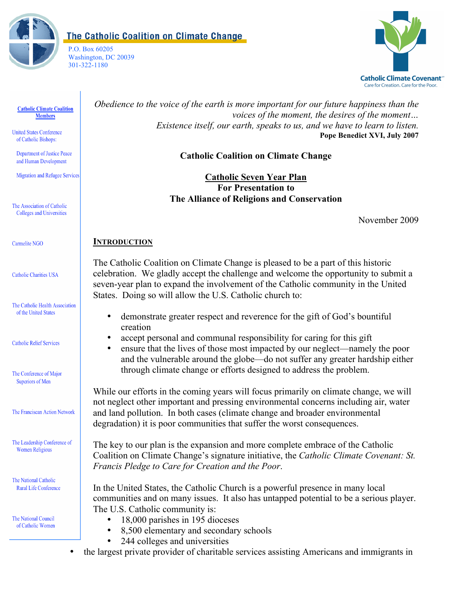

The Catholic Coalition on Climate Change

P.O. Box 60205 Washington, DC 20039 301-322-1180



#### **Catholic Climate Coalition Members**

**United States Conference** of Catholic Bishops:

**Department of Justice Peace** and Human Development

**Migration and Refugee Services** 

The Association of Catholic **Colleges and Universities** 

Carmelite NGO

**Catholic Charities USA** 

The Catholic Health Association of the United States

**Catholic Relief Services** 

The Conference of Major **Superiors of Men** 

The Franciscan Action Network

The Leadership Conference of **Women Religious** 

The National Catholic **Rural Life Conference** 

The National Council of Catholic Women *Obedience to the voice of the earth is more important for our future happiness than the voices of the moment, the desires of the moment… Existence itself, our earth, speaks to us, and we have to learn to listen.* **Pope Benedict XVI, July 2007**

# **Catholic Coalition on Climate Change**

**Catholic Seven Year Plan For Presentation to The Alliance of Religions and Conservation**

November 2009

#### **INTRODUCTION**

The Catholic Coalition on Climate Change is pleased to be a part of this historic celebration. We gladly accept the challenge and welcome the opportunity to submit a seven-year plan to expand the involvement of the Catholic community in the United States. Doing so will allow the U.S. Catholic church to:

- demonstrate greater respect and reverence for the gift of God's bountiful creation
- accept personal and communal responsibility for caring for this gift
- ensure that the lives of those most impacted by our neglect—namely the poor and the vulnerable around the globe—do not suffer any greater hardship either through climate change or efforts designed to address the problem.

While our efforts in the coming years will focus primarily on climate change, we will not neglect other important and pressing environmental concerns including air, water and land pollution. In both cases (climate change and broader environmental degradation) it is poor communities that suffer the worst consequences.

The key to our plan is the expansion and more complete embrace of the Catholic Coalition on Climate Change's signature initiative, the *Catholic Climate Covenant: St. Francis Pledge to Care for Creation and the Poor*.

In the United States, the Catholic Church is a powerful presence in many local communities and on many issues. It also has untapped potential to be a serious player. The U.S. Catholic community is:

- 18,000 parishes in 195 dioceses<br>• 8 500 elementary and secondary
- 8,500 elementary and secondary schools<br>• 244 colleges and universities
- 244 colleges and universities
- the largest private provider of charitable services assisting Americans and immigrants in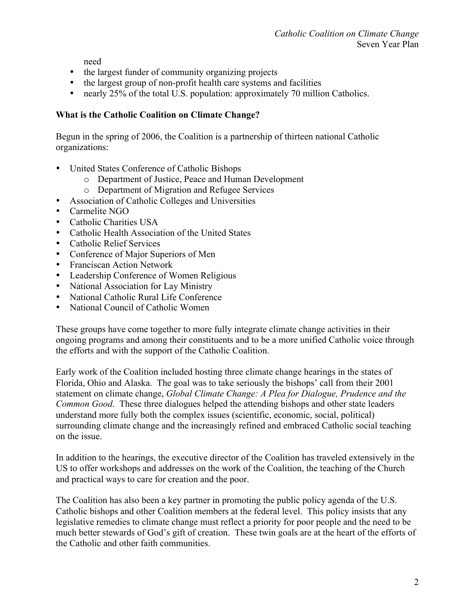need

- the largest funder of community organizing projects
- the largest group of non-profit health care systems and facilities
- nearly 25% of the total U.S. population: approximately 70 million Catholics.

## **What is the Catholic Coalition on Climate Change?**

Begun in the spring of 2006, the Coalition is a partnership of thirteen national Catholic organizations:

- United States Conference of Catholic Bishops
	- o Department of Justice, Peace and Human Development
	- o Department of Migration and Refugee Services
- Association of Catholic Colleges and Universities
- Carmelite NGO
- Catholic Charities USA
- Catholic Health Association of the United States
- Catholic Relief Services
- Conference of Major Superiors of Men
- Franciscan Action Network
- Leadership Conference of Women Religious
- National Association for Lay Ministry
- National Catholic Rural Life Conference<br>• National Council of Catholic Women
- National Council of Catholic Women

These groups have come together to more fully integrate climate change activities in their ongoing programs and among their constituents and to be a more unified Catholic voice through the efforts and with the support of the Catholic Coalition.

Early work of the Coalition included hosting three climate change hearings in the states of Florida, Ohio and Alaska. The goal was to take seriously the bishops' call from their 2001 statement on climate change, *Global Climate Change: A Plea for Dialogue, Prudence and the Common Good*. These three dialogues helped the attending bishops and other state leaders understand more fully both the complex issues (scientific, economic, social, political) surrounding climate change and the increasingly refined and embraced Catholic social teaching on the issue.

In addition to the hearings, the executive director of the Coalition has traveled extensively in the US to offer workshops and addresses on the work of the Coalition, the teaching of the Church and practical ways to care for creation and the poor.

The Coalition has also been a key partner in promoting the public policy agenda of the U.S. Catholic bishops and other Coalition members at the federal level. This policy insists that any legislative remedies to climate change must reflect a priority for poor people and the need to be much better stewards of God's gift of creation. These twin goals are at the heart of the efforts of the Catholic and other faith communities.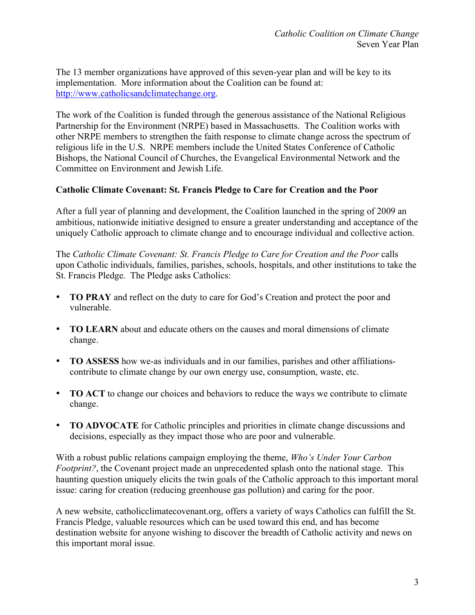The 13 member organizations have approved of this seven-year plan and will be key to its implementation. More information about the Coalition can be found at: http://www.catholicsandclimatechange.org.

The work of the Coalition is funded through the generous assistance of the National Religious Partnership for the Environment (NRPE) based in Massachusetts. The Coalition works with other NRPE members to strengthen the faith response to climate change across the spectrum of religious life in the U.S. NRPE members include the United States Conference of Catholic Bishops, the National Council of Churches, the Evangelical Environmental Network and the Committee on Environment and Jewish Life.

## **Catholic Climate Covenant: St. Francis Pledge to Care for Creation and the Poor**

After a full year of planning and development, the Coalition launched in the spring of 2009 an ambitious, nationwide initiative designed to ensure a greater understanding and acceptance of the uniquely Catholic approach to climate change and to encourage individual and collective action.

The *Catholic Climate Covenant: St. Francis Pledge to Care for Creation and the Poor* calls upon Catholic individuals, families, parishes, schools, hospitals, and other institutions to take the St. Francis Pledge. The Pledge asks Catholics:

- **TO PRAY** and reflect on the duty to care for God's Creation and protect the poor and vulnerable.
- **TO LEARN** about and educate others on the causes and moral dimensions of climate change.
- **TO ASSESS** how we-as individuals and in our families, parishes and other affiliationscontribute to climate change by our own energy use, consumption, waste, etc.
- **TO ACT** to change our choices and behaviors to reduce the ways we contribute to climate change.
- **TO ADVOCATE** for Catholic principles and priorities in climate change discussions and decisions, especially as they impact those who are poor and vulnerable.

With a robust public relations campaign employing the theme, *Who's Under Your Carbon Footprint?*, the Covenant project made an unprecedented splash onto the national stage. This haunting question uniquely elicits the twin goals of the Catholic approach to this important moral issue: caring for creation (reducing greenhouse gas pollution) and caring for the poor.

A new website, catholicclimatecovenant.org, offers a variety of ways Catholics can fulfill the St. Francis Pledge, valuable resources which can be used toward this end, and has become destination website for anyone wishing to discover the breadth of Catholic activity and news on this important moral issue.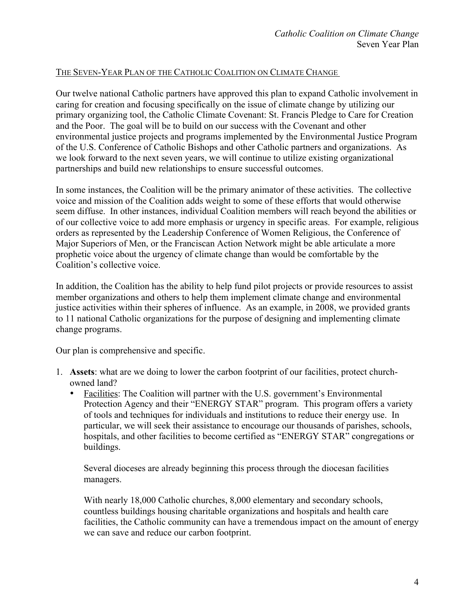### THE SEVEN-YEAR PLAN OF THE CATHOLIC COALITION ON CLIMATE CHANGE

Our twelve national Catholic partners have approved this plan to expand Catholic involvement in caring for creation and focusing specifically on the issue of climate change by utilizing our primary organizing tool, the Catholic Climate Covenant: St. Francis Pledge to Care for Creation and the Poor. The goal will be to build on our success with the Covenant and other environmental justice projects and programs implemented by the Environmental Justice Program of the U.S. Conference of Catholic Bishops and other Catholic partners and organizations. As we look forward to the next seven years, we will continue to utilize existing organizational partnerships and build new relationships to ensure successful outcomes.

In some instances, the Coalition will be the primary animator of these activities. The collective voice and mission of the Coalition adds weight to some of these efforts that would otherwise seem diffuse. In other instances, individual Coalition members will reach beyond the abilities or of our collective voice to add more emphasis or urgency in specific areas. For example, religious orders as represented by the Leadership Conference of Women Religious, the Conference of Major Superiors of Men, or the Franciscan Action Network might be able articulate a more prophetic voice about the urgency of climate change than would be comfortable by the Coalition's collective voice.

In addition, the Coalition has the ability to help fund pilot projects or provide resources to assist member organizations and others to help them implement climate change and environmental justice activities within their spheres of influence. As an example, in 2008, we provided grants to 11 national Catholic organizations for the purpose of designing and implementing climate change programs.

Our plan is comprehensive and specific.

- 1. **Assets**: what are we doing to lower the carbon footprint of our facilities, protect churchowned land?
	- Facilities: The Coalition will partner with the U.S. government's Environmental Protection Agency and their "ENERGY STAR" program. This program offers a variety of tools and techniques for individuals and institutions to reduce their energy use. In particular, we will seek their assistance to encourage our thousands of parishes, schools, hospitals, and other facilities to become certified as "ENERGY STAR" congregations or buildings.

Several dioceses are already beginning this process through the diocesan facilities managers.

With nearly 18,000 Catholic churches, 8,000 elementary and secondary schools, countless buildings housing charitable organizations and hospitals and health care facilities, the Catholic community can have a tremendous impact on the amount of energy we can save and reduce our carbon footprint.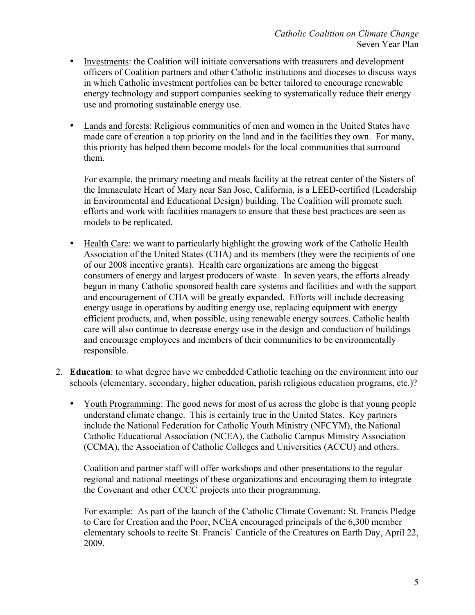- Investments: the Coalition will initiate conversations with treasurers and development officers of Coalition partners and other Catholic institutions and dioceses to discuss ways in which Catholic investment portfolios can be better tailored to encourage renewable energy technology and support companies seeking to systematically reduce their energy use and promoting sustainable energy use.
- Lands and forests: Religious communities of men and women in the United States have made care of creation a top priority on the land and in the facilities they own. For many, this priority has helped them become models for the local communities that surround them.

For example, the primary meeting and meals facility at the retreat center of the Sisters of the Immaculate Heart of Mary near San Jose, California, is a LEED-certified (Leadership in Environmental and Educational Design) building. The Coalition will promote such efforts and work with facilities managers to ensure that these best practices are seen as models to be replicated.

- Health Care: we want to particularly highlight the growing work of the Catholic Health Association of the United States (CHA) and its members (they were the recipients of one of our 2008 incentive grants). Health care organizations are among the biggest consumers of energy and largest producers of waste. In seven years, the efforts already begun in many Catholic sponsored health care systems and facilities and with the support and encouragement of CHA will be greatly expanded. Efforts will include decreasing energy usage in operations by auditing energy use, replacing equipment with energy efficient products, and, when possible, using renewable energy sources. Catholic health care will also continue to decrease energy use in the design and conduction of buildings and encourage employees and members of their communities to be environmentally responsible.
- 2. **Education**: to what degree have we embedded Catholic teaching on the environment into our schools (elementary, secondary, higher education, parish religious education programs, etc.)?
	- Youth Programming: The good news for most of us across the globe is that young people understand climate change. This is certainly true in the United States. Key partners include the National Federation for Catholic Youth Ministry (NFCYM), the National Catholic Educational Association (NCEA), the Catholic Campus Ministry Association (CCMA), the Association of Catholic Colleges and Universities (ACCU) and others.

Coalition and partner staff will offer workshops and other presentations to the regular regional and national meetings of these organizations and encouraging them to integrate the Covenant and other CCCC projects into their programming.

For example: As part of the launch of the Catholic Climate Covenant: St. Francis Pledge to Care for Creation and the Poor, NCEA encouraged principals of the 6,300 member elementary schools to recite St. Francis' Canticle of the Creatures on Earth Day, April 22, 2009.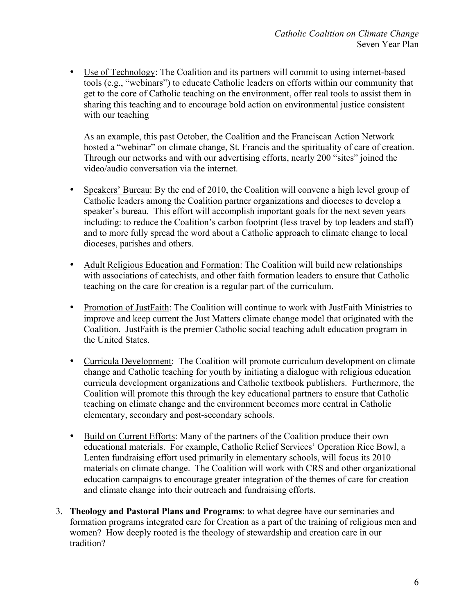• Use of Technology: The Coalition and its partners will commit to using internet-based tools (e.g., "webinars") to educate Catholic leaders on efforts within our community that get to the core of Catholic teaching on the environment, offer real tools to assist them in sharing this teaching and to encourage bold action on environmental justice consistent with our teaching

As an example, this past October, the Coalition and the Franciscan Action Network hosted a "webinar" on climate change, St. Francis and the spirituality of care of creation. Through our networks and with our advertising efforts, nearly 200 "sites" joined the video/audio conversation via the internet.

- Speakers' Bureau: By the end of 2010, the Coalition will convene a high level group of Catholic leaders among the Coalition partner organizations and dioceses to develop a speaker's bureau. This effort will accomplish important goals for the next seven years including: to reduce the Coalition's carbon footprint (less travel by top leaders and staff) and to more fully spread the word about a Catholic approach to climate change to local dioceses, parishes and others.
- Adult Religious Education and Formation: The Coalition will build new relationships with associations of catechists, and other faith formation leaders to ensure that Catholic teaching on the care for creation is a regular part of the curriculum.
- Promotion of JustFaith: The Coalition will continue to work with JustFaith Ministries to improve and keep current the Just Matters climate change model that originated with the Coalition. JustFaith is the premier Catholic social teaching adult education program in the United States.
- Curricula Development: The Coalition will promote curriculum development on climate change and Catholic teaching for youth by initiating a dialogue with religious education curricula development organizations and Catholic textbook publishers. Furthermore, the Coalition will promote this through the key educational partners to ensure that Catholic teaching on climate change and the environment becomes more central in Catholic elementary, secondary and post-secondary schools.
- Build on Current Efforts: Many of the partners of the Coalition produce their own educational materials. For example, Catholic Relief Services' Operation Rice Bowl, a Lenten fundraising effort used primarily in elementary schools, will focus its 2010 materials on climate change. The Coalition will work with CRS and other organizational education campaigns to encourage greater integration of the themes of care for creation and climate change into their outreach and fundraising efforts.
- 3. **Theology and Pastoral Plans and Programs**: to what degree have our seminaries and formation programs integrated care for Creation as a part of the training of religious men and women? How deeply rooted is the theology of stewardship and creation care in our tradition?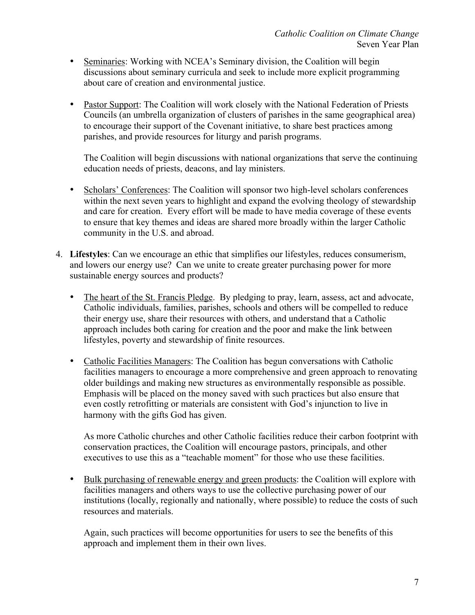- Seminaries: Working with NCEA's Seminary division, the Coalition will begin discussions about seminary curricula and seek to include more explicit programming about care of creation and environmental justice.
- Pastor Support: The Coalition will work closely with the National Federation of Priests Councils (an umbrella organization of clusters of parishes in the same geographical area) to encourage their support of the Covenant initiative, to share best practices among parishes, and provide resources for liturgy and parish programs.

The Coalition will begin discussions with national organizations that serve the continuing education needs of priests, deacons, and lay ministers.

- Scholars' Conferences: The Coalition will sponsor two high-level scholars conferences within the next seven years to highlight and expand the evolving theology of stewardship and care for creation. Every effort will be made to have media coverage of these events to ensure that key themes and ideas are shared more broadly within the larger Catholic community in the U.S. and abroad.
- 4. **Lifestyles**: Can we encourage an ethic that simplifies our lifestyles, reduces consumerism, and lowers our energy use? Can we unite to create greater purchasing power for more sustainable energy sources and products?
	- The heart of the St. Francis Pledge. By pledging to pray, learn, assess, act and advocate, Catholic individuals, families, parishes, schools and others will be compelled to reduce their energy use, share their resources with others, and understand that a Catholic approach includes both caring for creation and the poor and make the link between lifestyles, poverty and stewardship of finite resources.
	- Catholic Facilities Managers: The Coalition has begun conversations with Catholic facilities managers to encourage a more comprehensive and green approach to renovating older buildings and making new structures as environmentally responsible as possible. Emphasis will be placed on the money saved with such practices but also ensure that even costly retrofitting or materials are consistent with God's injunction to live in harmony with the gifts God has given.

As more Catholic churches and other Catholic facilities reduce their carbon footprint with conservation practices, the Coalition will encourage pastors, principals, and other executives to use this as a "teachable moment" for those who use these facilities.

• Bulk purchasing of renewable energy and green products: the Coalition will explore with facilities managers and others ways to use the collective purchasing power of our institutions (locally, regionally and nationally, where possible) to reduce the costs of such resources and materials.

Again, such practices will become opportunities for users to see the benefits of this approach and implement them in their own lives.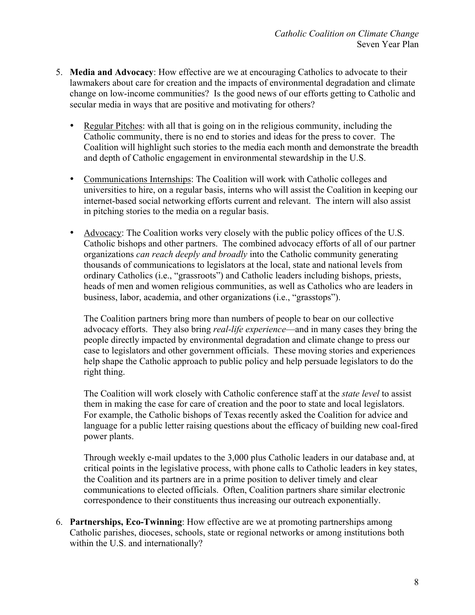- 5. **Media and Advocacy**: How effective are we at encouraging Catholics to advocate to their lawmakers about care for creation and the impacts of environmental degradation and climate change on low-income communities? Is the good news of our efforts getting to Catholic and secular media in ways that are positive and motivating for others?
	- Regular Pitches: with all that is going on in the religious community, including the Catholic community, there is no end to stories and ideas for the press to cover. The Coalition will highlight such stories to the media each month and demonstrate the breadth and depth of Catholic engagement in environmental stewardship in the U.S.
	- Communications Internships: The Coalition will work with Catholic colleges and universities to hire, on a regular basis, interns who will assist the Coalition in keeping our internet-based social networking efforts current and relevant. The intern will also assist in pitching stories to the media on a regular basis.
	- Advocacy: The Coalition works very closely with the public policy offices of the U.S. Catholic bishops and other partners. The combined advocacy efforts of all of our partner organizations *can reach deeply and broadly* into the Catholic community generating thousands of communications to legislators at the local, state and national levels from ordinary Catholics (i.e., "grassroots") and Catholic leaders including bishops, priests, heads of men and women religious communities, as well as Catholics who are leaders in business, labor, academia, and other organizations (i.e., "grasstops").

The Coalition partners bring more than numbers of people to bear on our collective advocacy efforts. They also bring *real-life experience*—and in many cases they bring the people directly impacted by environmental degradation and climate change to press our case to legislators and other government officials. These moving stories and experiences help shape the Catholic approach to public policy and help persuade legislators to do the right thing.

The Coalition will work closely with Catholic conference staff at the *state level* to assist them in making the case for care of creation and the poor to state and local legislators. For example, the Catholic bishops of Texas recently asked the Coalition for advice and language for a public letter raising questions about the efficacy of building new coal-fired power plants.

Through weekly e-mail updates to the 3,000 plus Catholic leaders in our database and, at critical points in the legislative process, with phone calls to Catholic leaders in key states, the Coalition and its partners are in a prime position to deliver timely and clear communications to elected officials. Often, Coalition partners share similar electronic correspondence to their constituents thus increasing our outreach exponentially.

6. **Partnerships, Eco-Twinning**: How effective are we at promoting partnerships among Catholic parishes, dioceses, schools, state or regional networks or among institutions both within the U.S. and internationally?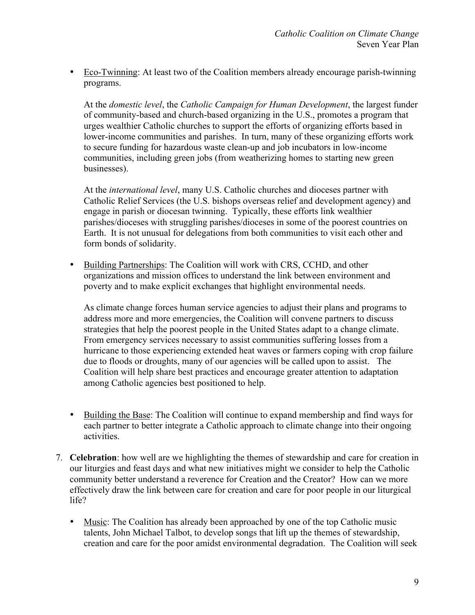• Eco-Twinning: At least two of the Coalition members already encourage parish-twinning programs.

At the *domestic level*, the *Catholic Campaign for Human Development*, the largest funder of community-based and church-based organizing in the U.S., promotes a program that urges wealthier Catholic churches to support the efforts of organizing efforts based in lower-income communities and parishes. In turn, many of these organizing efforts work to secure funding for hazardous waste clean-up and job incubators in low-income communities, including green jobs (from weatherizing homes to starting new green businesses).

At the *international level*, many U.S. Catholic churches and dioceses partner with Catholic Relief Services (the U.S. bishops overseas relief and development agency) and engage in parish or diocesan twinning. Typically, these efforts link wealthier parishes/dioceses with struggling parishes/dioceses in some of the poorest countries on Earth. It is not unusual for delegations from both communities to visit each other and form bonds of solidarity.

• Building Partnerships: The Coalition will work with CRS, CCHD, and other organizations and mission offices to understand the link between environment and poverty and to make explicit exchanges that highlight environmental needs.

As climate change forces human service agencies to adjust their plans and programs to address more and more emergencies, the Coalition will convene partners to discuss strategies that help the poorest people in the United States adapt to a change climate. From emergency services necessary to assist communities suffering losses from a hurricane to those experiencing extended heat waves or farmers coping with crop failure due to floods or droughts, many of our agencies will be called upon to assist. The Coalition will help share best practices and encourage greater attention to adaptation among Catholic agencies best positioned to help.

- Building the Base: The Coalition will continue to expand membership and find ways for each partner to better integrate a Catholic approach to climate change into their ongoing activities.
- 7. **Celebration**: how well are we highlighting the themes of stewardship and care for creation in our liturgies and feast days and what new initiatives might we consider to help the Catholic community better understand a reverence for Creation and the Creator? How can we more effectively draw the link between care for creation and care for poor people in our liturgical life?
	- Music: The Coalition has already been approached by one of the top Catholic music talents, John Michael Talbot, to develop songs that lift up the themes of stewardship, creation and care for the poor amidst environmental degradation. The Coalition will seek